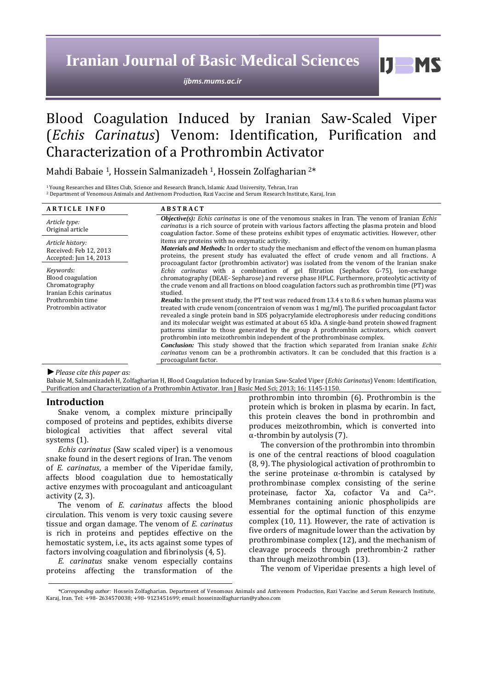# **Iranian Journal of Basic Medical Sciences**

*ijbms.mums.ac.ir*

# Blood Coagulation Induced by Iranian Saw-Scaled Viper (*Echis Carinatus*) Venom: Identification, Purification and Characterization of a Prothrombin Activator

Mahdi Babaie <sup>1</sup>, Hossein Salmanizadeh <sup>1</sup>, Hossein Zolfagharian <sup>2</sup>\*

<sup>1</sup>Young Researches and Elites Club, Science and Research Branch, Islamic Azad University, Tehran, Iran <sup>2</sup> Department of Venomous Animals and Antivenom Production, Razi Vaccine and Serum Research Institute, Karaj, Iran

| <b>ARTICLE INFO</b>                                                                                                     | <b>ABSTRACT</b>                                                                                                                                                                                                                                                                                                                                                                                                                                                                                                                                                                                                                                                                      |
|-------------------------------------------------------------------------------------------------------------------------|--------------------------------------------------------------------------------------------------------------------------------------------------------------------------------------------------------------------------------------------------------------------------------------------------------------------------------------------------------------------------------------------------------------------------------------------------------------------------------------------------------------------------------------------------------------------------------------------------------------------------------------------------------------------------------------|
| Article type:<br>Original article                                                                                       | <b><i>Objective(s):</i></b> Echis carinatus is one of the venomous snakes in Iran. The venom of Iranian Echis<br><i>carinatus</i> is a rich source of protein with various factors affecting the plasma protein and blood<br>coagulation factor. Some of these proteins exhibit types of enzymatic activities. However, other<br>items are proteins with no enzymatic activity.<br><i>Materials and Methods:</i> In order to study the mechanism and effect of the venom on human plasma<br>proteins, the present study has evaluated the effect of crude venom and all fractions. A<br>procoagulant factor (prothrombin activator) was isolated from the venom of the Iranian snake |
| Article history:<br>Received: Feb 12, 2013<br>Accepted: Jun 14, 2013                                                    |                                                                                                                                                                                                                                                                                                                                                                                                                                                                                                                                                                                                                                                                                      |
| Keywords:<br>Blood coagulation<br>Chromatography<br>Iranian Echis carinatus<br>Prothrombin time<br>Protrombin activator | Echis carinatus with a combination of gel filtration (Sephadex G-75), ion-exchange<br>chromatography (DEAE- Sepharose) and reverse phase HPLC. Furthermore, proteolytic activity of<br>the crude venom and all fractions on blood coagulation factors such as prothrombin time (PT) was<br>studied.                                                                                                                                                                                                                                                                                                                                                                                  |
|                                                                                                                         | <b>Results:</b> In the present study, the PT test was reduced from 13.4 s to 8.6 s when human plasma was<br>treated with crude venom (concentraion of venom was $1 \text{ mg/ml}$ ). The purified procoagulant factor<br>revealed a single protein band in SDS polyacrylamide electrophoresis under reducing conditions<br>and its molecular weight was estimated at about 65 kDa. A single-band protein showed fragment<br>patterns similar to those generated by the group A prothrombin activators, which convert<br>prothrombin into meizothrombin independent of the prothrombinase complex.                                                                                    |
|                                                                                                                         | <b>Conclusion:</b> This study showed that the fraction which separated from Iranian snake Echis<br><i>carinatus</i> venom can be a prothrombin activators. It can be concluded that this fraction is a<br>procoagulant factor.                                                                                                                                                                                                                                                                                                                                                                                                                                                       |

*►Please cite this paper as:*

Babaie M, Salmanizadeh H, Zolfagharian H, Blood Coagulation Induced by Iranian Saw-Scaled Viper (*Echis Carinatus*) Venom: Identification, Purification and Characterization of a Prothrombin Activator. Iran J Basic Med Sci; 2013; 16: 1145-1150.

## **Introduction**

Snake venom, a complex mixture principally composed of proteins and peptides, exhibits diverse biological activities that affect several vital systems (1).

*Echis carinatus* (Saw scaled viper) is a venomous snake found in the desert regions of Iran. The venom of *E. carinatus*, a member of the Viperidae family, affects blood coagulation due to hemostatically active enzymes with procoagulant and anticoagulant activity (2, 3).

The venom of *E. carinatus* affects the blood circulation. This venom is very toxic causing severe tissue and organ damage. The venom of *E. carinatus* is rich in proteins and peptides effective on the hemostatic system, i.e., its acts against some types of factors involving coagulation and fibrinolysis (4, 5).

*E. carinatus* snake venom especially contains proteins affecting the transformation of the prothrombin into thrombin (6). Prothrombin is the protein which is broken in plasma by ecarin. In fact, this protein cleaves the bond in prothrombin and produces meizothrombin, which is converted into α-thrombin by autolysis (7).

 $I$   $I$   $M$   $S$ 

The conversion of the prothrombin into thrombin is one of the central reactions of blood coagulation (8, 9). The physiological activation of prothrombin to the serine proteinase α-thrombin is catalysed by prothrombinase complex consisting of the serine proteinase, factor Xa, cofactor Va and Ca2+. Membranes containing anionic phospholipids are essential for the optimal function of this enzyme complex (10, 11). However, the rate of activation is five orders of magnitude lower than the activation by prothrombinase complex (12), and the mechanism of cleavage proceeds through prethrombin-2 rather than through meizothrombin (13).

The venom of Viperidae presents a high level of

*<sup>\*</sup>Corresponding author:* Hossein Zolfagharian. Department of Venomous Animals and Antivenom Production, Razi Vaccine and Serum Research Institute, Karaj, Iran. Tel: +98- 2634570038; +98- 9123451699; email: hosseinzolfagharrian@yahoo.com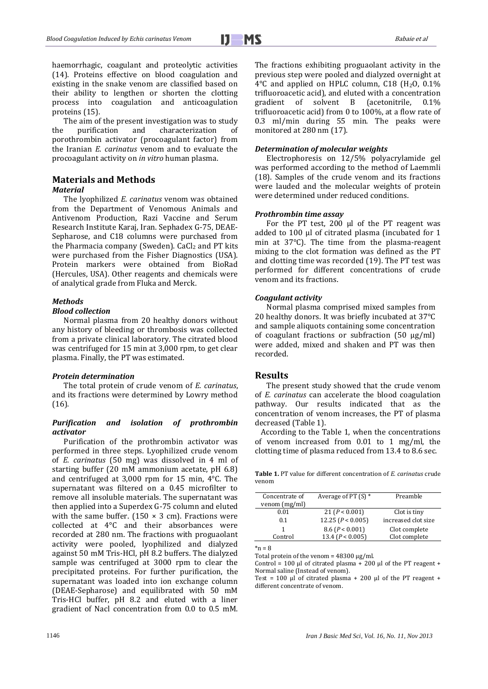haemorrhagic, coagulant and proteolytic activities (14). Proteins effective on blood coagulation and existing in the snake venom are classified based on their ability to lengthen or shorten the clotting process into coagulation and anticoagulation proteins (15).

The aim of the present investigation was to study the purification and characterization of porothrombin activator (procoagulant factor) from the Iranian *E. carinatus* venom and to evaluate the procoagulant activity on *in vitro* human plasma.

# **Materials and Methods**

#### *Material*

The lyophilized *E. carinatus* venom was obtained from the Department of Venomous Animals and Antivenom Production, Razi Vaccine and Serum Research Institute Karaj, Iran. Sephadex G-75, DEAE-Sepharose, and C18 columns were purchased from the Pharmacia company (Sweden).  $CaCl<sub>2</sub>$  and PT kits were purchased from the Fisher Diagnostics (USA). Protein markers were obtained from BioRad (Hercules, USA). Other reagents and chemicals were of analytical grade from Fluka and Merck.

# *Methods*

# *Blood collection*

Normal plasma from 20 healthy donors without any history of bleeding or thrombosis was collected from a private clinical laboratory. The citrated blood was centrifuged for 15 min at 3,000 rpm, to get clear plasma. Finally, the PT was estimated.

## *Protein determination*

The total protein of crude venom of *E. carinatus*, and its fractions were determined by Lowry method (16).

## *Purification and isolation of prothrombin activator*

Purification of the prothrombin activator was performed in three steps. Lyophilized crude venom of *E. carinatus* (50 mg) was dissolved in 4 ml of starting buffer (20 mM ammonium acetate, pH 6.8) and centrifuged at 3,000 rpm for 15 min, 4°C. The supernatant was filtered on a 0.45 microfilter to remove all insoluble materials. The supernatant was then applied into a Superdex G-75 column and eluted with the same buffer. (150  $\times$  3 cm). Fractions were collected at 4°C and their absorbances were recorded at 280 nm. The fractions with proguaolant activity were pooled, lyophilized and dialyzed against 50 mM Tris-HCl, pH 8.2 buffers. The dialyzed sample was centrifuged at 3000 rpm to clear the precipitated proteins. For further purification, the supernatant was loaded into ion exchange column (DEAE-Sepharose) and equilibrated with 50 mM Tris-HCl buffer, pH 8.2 and eluted with a liner gradient of Nacl concentration from 0.0 to 0.5 mM. The fractions exhibiting proguaolant activity in the previous step were pooled and dialyzed overnight at  $4^{\circ}$ C and applied on HPLC column, C18 (H<sub>2</sub>O, 0.1%) trifluoroacetic acid), and eluted with a concentration gradient of solvent B (acetonitrile, 0.1% trifluoroacetic acid) from 0 to 100%, at a flow rate of 0.3 ml/min during 55 min. The peaks were monitored at 280 nm (17).

#### *Determination of molecular weights*

Electrophoresis on 12/5% polyacrylamide gel was performed according to the method of Laemmli (18). Samples of the crude venom and its fractions were lauded and the molecular weights of protein were determined under reduced conditions.

#### *Prothrombin time assay*

For the PT test, 200 μl of the PT reagent was added to 100 μl of citrated plasma (incubated for 1 min at 37°C). The time from the plasma-reagent mixing to the clot formation was defined as the PT and clotting time was recorded (19). The PT test was performed for different concentrations of crude venom and its fractions.

## *Coagulant activity*

Normal plasma comprised mixed samples from 20 healthy donors. It was briefly incubated at 37°C and sample aliquots containing some concentration of coagulant fractions or subfraction (50 µg/ml) were added, mixed and shaken and PT was then recorded.

# **Results**

The present study showed that the crude venom of *E. carinatus* can accelerate the blood coagulation pathway. Our results indicated that as the concentration of venom increases, the PT of plasma decreased (Table 1).

According to the Table 1, when the concentrations of venom increased from 0.01 to 1 mg/ml, the clotting time of plasma reduced from 13.4 to 8.6 sec.

**Table 1.** PT value for different concentration of *E. carinatus* crude venom

| Concentrate of | Average of PT $(S)$ * | Preamble            |
|----------------|-----------------------|---------------------|
| venom (mg/ml)  |                       |                     |
| 0.01           | 21 (P < 0.001)        | Clot is tiny        |
| 0.1            | 12.25 $(P < 0.005)$   | increased clot size |
|                | 8.6 (P < 0.001)       | Clot complete       |
| Control        | 13.4 $(P < 0.005)$    | Clot complete       |
|                |                       |                     |

 $*<sub>n</sub> = 8$ 

Total protein of the venom = 48300 μg/ml.

Control = 100 μl of citrated plasma + 200 μl of the PT reagent + Normal saline (Instead of venom).

Test =  $100 \mu l$  of citrated plasma +  $200 \mu l$  of the PT reagent + different concentrate of venom.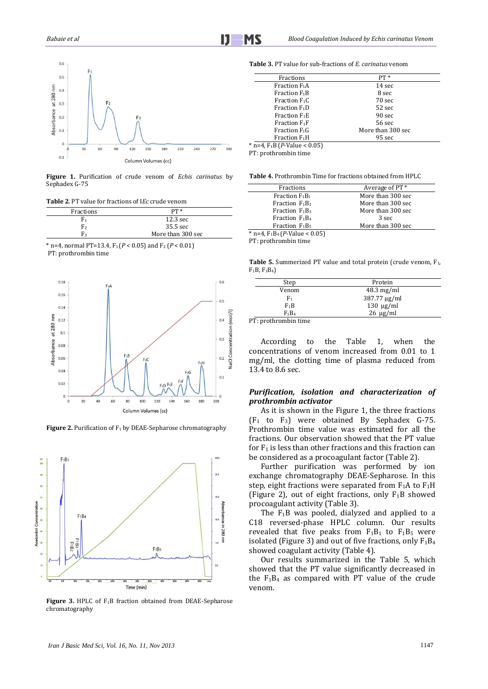

**Figure 1.** Purification of crude venom of *Echis carinatus* by Sephadex G-75

**Table 2**. PT value for fractions of I*Ec* crude venom

| Fractions      | $PT *$             |
|----------------|--------------------|
| F1             | $12.3 \text{ sec}$ |
| F2             | 35.5 sec           |
| F <sub>2</sub> | More than 300 sec  |

\* n=4, normal PT=13.4,  $F_1$  ( $P < 0.05$ ) and  $F_2$  ( $P < 0.01$ ) PT: prothrombin time



**Figure 2.** Purification of F<sub>1</sub> by DEAE-Sepharose chromatography



**Figure 3.** HPLC of F1B fraction obtained from DEAE-Sepharose chromatography

**Table 3.** PT value for sub-fractions of *E. carinatus* venom

| Fractions                                           | $PT*$             |  |
|-----------------------------------------------------|-------------------|--|
| Fraction F <sub>1</sub> A                           | 14 sec            |  |
| Fraction F <sub>1</sub> B                           | 8 sec             |  |
| Fraction $F_1C$                                     | 70 sec            |  |
| Fraction F <sub>1</sub> D                           | 52 sec            |  |
| Fraction F <sub>1</sub> E                           | 90 sec            |  |
| Fraction $F_1F$                                     | 56 sec            |  |
| Fraction F1G                                        | More than 300 sec |  |
| Fraction F <sub>1</sub> H                           | 95 sec            |  |
| $*$ n=4, F <sub>1</sub> B ( <i>P</i> -Value < 0.05) |                   |  |
|                                                     |                   |  |

PT: prothrombin time

**Table 4.** Prothrombin Time for fractions obtained from HPLC

| Fractions                                 | Average of PT <sup>*</sup> |  |
|-------------------------------------------|----------------------------|--|
| Fraction $F_1B_1$                         | More than 300 sec          |  |
| Fraction $F_1B_2$                         | More than 300 sec          |  |
| Fraction $F_1B_3$                         | More than 300 sec          |  |
| Fraction $F_1B_4$                         | 3 sec                      |  |
| Fraction $F_1B_5$                         | More than 300 sec          |  |
| * n=4, $F_1B_4$ ( <i>P</i> -Value < 0.05) |                            |  |
|                                           |                            |  |

PT: prothrombin time

**Table 5.** Summerized PT value and total protein (crude venom, F<sub>1</sub>, F1B, F1B4)

|             | Step                 | Protein              |
|-------------|----------------------|----------------------|
|             | Venom                | $48.3 \text{ mg/ml}$ |
|             | F1                   | 387.77 µg/ml         |
|             | $F_1B$               | $130 \mu g/ml$       |
|             | $F_1B_4$             | $26 \mu g/ml$        |
| <b>DOM:</b> | .<br>$\cdot$ $\cdot$ |                      |

PT: prothrombin time

According to the Table 1, when the concentrations of venom increased from 0.01 to 1 mg/ml, the clotting time of plasma reduced from 13.4 to 8.6 sec.

# *Purification, isolation and characterization of prothrombin activator*

As it is shown in the Figure 1, the three fractions  $(F_1$  to  $F_3)$  were obtained By Sephadex G-75. Prothrombin time value was estimated for all the fractions. Our observation showed that the PT value for  $F_1$  is less than other fractions and this fraction can be considered as a procoagulant factor (Table 2).

Further purification was performed by ion exchange chromatography DEAE-Sepharose. In this step, eight fractions were separated from  $F_1A$  to  $F_1H$ (Figure 2), out of eight fractions, only  $F_1B$  showed procoagulant activity (Table 3).

The  $F_1B$  was pooled, dialyzed and applied to a C18 reversed-phase HPLC column. Our results revealed that five peaks from  $F_1B_1$  to  $F_1B_5$  were isolated (Figure 3) and out of five fractions, only  $F_1B_4$ showed coagulant activity (Table 4).

Our results summarized in the Table 5, which showed that the PT value significantly decreased in the  $F_1B_4$  as compared with PT value of the crude venom.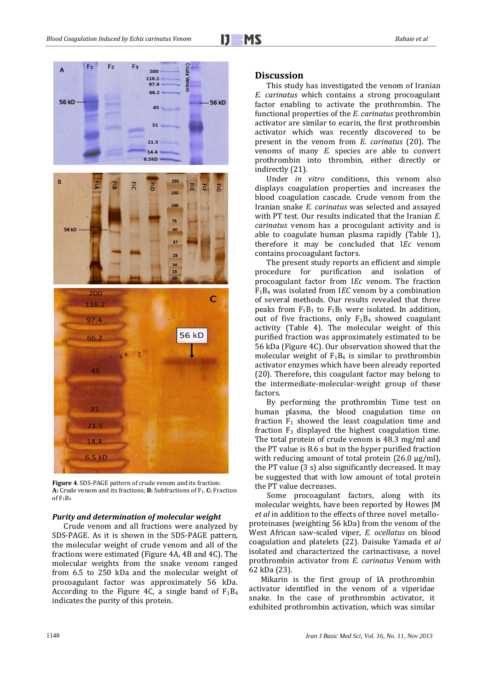



**Figure 4**. SDS-PAGE pattern of crude venom and its fraction: **A:** Crude venom and its fractions; **B:** Subfractions of F<sub>1;</sub> C: Fraction of F1B<sup>4</sup>

#### *Purity and determination of molecular weight*

Crude venom and all fractions were analyzed by SDS-PAGE. As it is shown in the SDS-PAGE pattern, the molecular weight of crude venom and all of the fractions were estimated (Figure 4A, 4B and 4C). The molecular weights from the snake venom ranged from 6.5 to 250 kDa and the molecular weight of procoagulant factor was approximately 56 kDa. According to the Figure 4C, a single band of  $F_1B_4$ indicates the purity of this protein.

#### **Discussion**

This study has investigated the venom of Iranian *E. carinatus* which contains a strong procoagulant factor enabling to activate the prothrombin. The functional properties of the *E. carinatus* prothrombin activator are similar to ecarin, the first prothrombin activator which was recently discovered to be present in the venom from *E. carinatus* (20). The venoms of many *E.* species are able to convert prothrombin into thrombin, either directly or indirectly (21).

Under *in vitro* conditions, this venom also displays coagulation properties and increases the blood coagulation cascade. Crude venom from the Iranian snake *E. carinatus* was selected and assayed with PT test. Our results indicated that the Iranian *E. carinatus* venom has a procogulant activity and is able to coagulate human plasma rapidly (Table 1), therefore it may be concluded that I*Ec* venom contains procoagulant factors.

The present study reports an efficient and simple procedure for purification and isolation of procoagulant factor from I*Ec* venom. The fraction F1B<sup>4</sup> was isolated from I*EC* venom by a combination of several methods. Our results revealed that three peaks from  $F_1B_1$  to  $F_1B_5$  were isolated. In addition, out of five fractions, only  $F_1B_4$  showed coagulant activity (Table 4). The molecular weight of this purified fraction was approximately estimated to be 56 kDa (Figure 4C). Our observation showed that the molecular weight of  $F_1B_4$  is similar to prothrombin activator enzymes which have been already reported (20). Therefore, this coagulant factor may belong to the intermediate-molecular-weight group of these factors.

By performing the prothrombin Time test on human plasma, the blood coagulation time on fraction  $F_1$  showed the least coagulation time and fraction  $F_3$  displayed the highest coagulation time. The total protein of crude venom is 48.3 mg/ml and the PT value is 8.6 s but in the hyper purified fraction with reducing amount of total protein  $(26.0 \text{ µg/ml})$ , the PT value (3 s) also significantly decreased. It may be suggested that with low amount of total protein the PT value decreases.

 Some procoagulant factors, along with its molecular weights, have been reported by Howes JM *et al* in addition to the effects of three novel metalloproteinases (weighting 56 kDa) from the venom of the West African saw-scaled viper, *E. ocellatus* on blood coagulation and platelets (22). Daisuke Yamada *et al* isolated and characterized the carinactivase, a novel prothrombin activator from *E. carinatus* Venom with 62 kDa (23).

Mikarin is the first group of IA prothrombin activator identified in the venom of a viperidae snake. In the case of prothrombin activator, it exhibited prothrombin activation, which was similar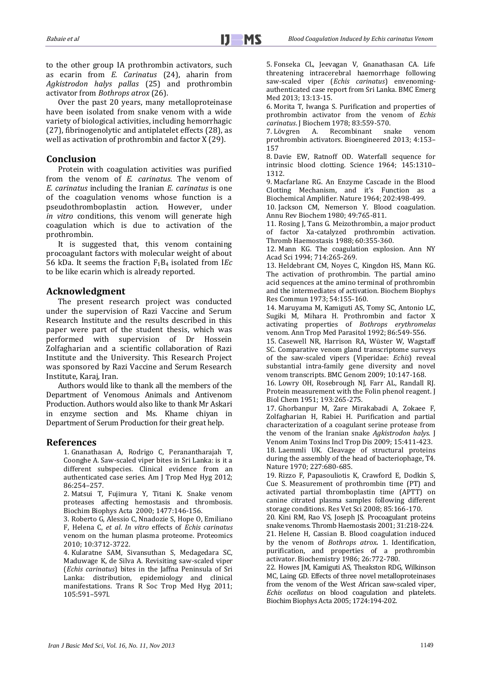to the other group IA prothrombin activators, such as ecarin from *E. Carinatus* (24), aharin from *Agkistrodon halys pallas* (25) and prothrombin activator from *Bothrops atrox* (26).

Over the past 20 years, many metalloproteinase have been isolated from snake venom with a wide variety of biological activities, including hemorrhagic (27), fibrinogenolytic and antiplatelet effects (28), as well as activation of prothrombin and factor X (29).

# **Conclusion**

Protein with coagulation activities was purified from the venom of *E. carinatus*. The venom of *E. carinatus* including the Iranian *E. carinatus* is one of the coagulation venoms whose function is a pseudothromboplastin action. However, under *in vitro* conditions, this venom will generate high coagulation which is due to activation of the prothrombin.

It is suggested that, this venom containing procoagulant factors with molecular weight of about 56 kDa. It seems the fraction F1B<sup>4</sup> isolated from I*Ec* to be like ecarin which is already reported.

# **Acknowledgment**

The present research project was conducted under the supervision of Razi Vaccine and Serum Research Institute and the results described in this paper were part of the student thesis, which was performed with supervision of Dr Hossein Zolfagharian and a scientific collaboration of Razi Institute and the University. This Research Project was sponsored by Razi Vaccine and Serum Research Institute, Karaj, Iran.

Authors would like to thank all the members of the Department of Venomous Animals and Antivenom Production. Authors would also like to thank Mr Askari in enzyme section and Ms. Khame chiyan in Department of Serum Production for their great help.

# **References**

1. Gnanathasan A, Rodrigo C, Peranantharajah T, Coonghe A. Saw-scaled viper bites in Sri Lanka: is it a different subspecies. Clinical evidence from an authenticated case series. Am J Trop Med Hyg 2012; 86:254–257.

2. Matsui T, Fujimura Y, Titani K. Snake venom proteases affecting hemostasis and thrombosis. Biochim Biophys Acta 2000; 1477:146-156.

3. Roberto G, Alessio C, Nnadozie S, Hope O, Emiliano F, Helena C, *et al*. *In vitro* effects of *Echis carinatus* venom on the human plasma proteome. Proteomics 2010; 10:3712-3722.

4. Kularatne SAM, Sivansuthan S, Medagedara SC, Maduwage K, de Silva A. Revisiting saw-scaled viper (*Echis carinatus*) bites in the Jaffna Peninsula of Sri Lanka: distribution, epidemiology and clinical manifestations. Trans R Soc Trop Med Hyg 2011; 105:591–597l.

5. Fonseka CL, Jeevagan V, Gnanathasan CA. Life threatening intracerebral haemorrhage following saw-scaled viper (*Echis carinatus*) envenomingauthenticated case report from Sri Lanka. BMC Emerg Med 2013; 13:13-15.

6. Morita T, Iwanga S. Purification and properties of prothrombin activator from the venom of *Echis carinatus*. J Biochem 1978; 83:559-570.

7. Lövgren A. Recombinant snake venom prothrombin activators. Bioengineered 2013; 4:153– 157

8. Davie EW, Ratnoff OD. Waterfall sequence for intrinsic blood clotting. Science 1964; 145:1310– 1312.

9. Macfarlane RG. An Enzyme Cascade in the Blood Clotting Mechanism, and it's Function as a Biochemical Amplifier. Nature 1964; 202:498-499.

10. Jackson CM, Nemerson Y. Blood coagulation. Annu Rev Biochem 1980; 49:765-811.

11. Rosing J, Tans G. Meizothrombin, a major product of factor Xa-catalyzed prothrombin activation. Thromb Haemostasis 1988; 60:355-360.

12. Mann KG. The coagulation explosion. Ann NY Acad Sci 1994; 714:265-269.

13. Heldebrant CM, Noyes C, Kingdon HS, Mann KG. The activation of prothrombin. The partial amino acid sequences at the amino terminal of prothrombin and the intermediates of activation. Biochem Biophys Res Commun 1973; 54:155-160.

14. Maruyama M, Kamiguti AS, Tomy SC, Antonio LC, Sugiki M, Mihara H. Prothrombin and factor X activating properties of *Bothrops erythromelas*  venom. Ann Trop Med Parasitol 1992; 86:549-556.

15. Casewell NR, Harrison RA, Wüster W, Wagstaff SC. Comparative venom gland transcriptome surveys of the saw-scaled vipers (Viperidae: *Echis*) reveal substantial intra-family gene diversity and novel venom transcripts. BMC Genom 2009; 10:147-168.

16. Lowry OH, Rosebrough NJ, Farr AL, Randall RJ. Protein measurement with the Folin phenol reagent. J Biol Chem 1951; 193:265-275.

17. Ghorbanpur M, Zare Mirakabadi A, Zokaee F, Zolfagharian H, Rabiei H. Purification and partial characterization of a coagulant serine protease from the venom of the Iranian snake *Agkistrodon halys.* J Venom Anim Toxins Incl Trop Dis 2009; 15:411-423.

18. Laemmli UK. Cleavage of structural proteins during the assembly of the head of bacteriophage, T4. Nature 1970; 227:680-685.

19. Rizzo F, Papasouliotis K, Crawford E, Dodkin S, Cue S. Measurement of prothrombin time (PT) and activated partial thromboplastin time (APTT) on canine citrated plasma samples following different storage conditions. Res Vet Sci 2008; 85:166-170.

20. Kini RM, Rao VS, Joseph JS. Procoagulant proteins snake venoms. Thromb Haemostasis 2001; 31:218-224.

21. Helene H, Cassian B. Blood coagulation induced by the venom of *Bothrops atrox.* 1. Identification, purification, and properties of a prothrombin activator. Biochemistry 1986; 26:772-780.

22. Howes JM, Kamiguti AS, Theakston RDG, Wilkinson MC, Laing GD. Effects of three novel metalloproteinases from the venom of the West African saw-scaled viper, *Echis ocellatus* on blood coagulation and platelets. Biochim Biophys Acta 2005; 1724:194-202.